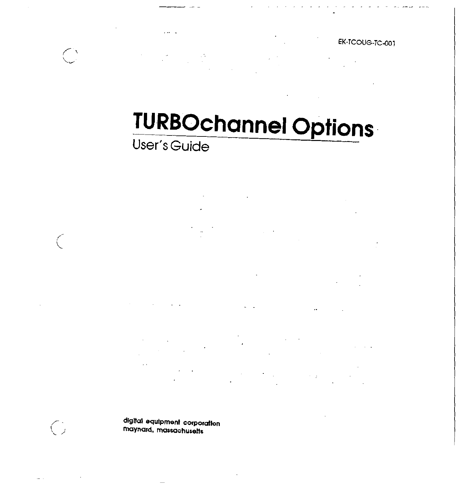EK-TCOUG-TC-001

# **TURBOchannel Options**

 $\mu \rightarrow \infty$ 

 $\mathcal{L}^{\mathcal{L}}(\mathcal{L}^{\mathcal{L}})$  ,  $\mathcal{L}^{\mathcal{L}}(\mathcal{L}^{\mathcal{L}})$ 

 $\sim$   $\sim$ 

User's Guide

digital equipment corporation maynard, massachusetts

 $\bigodot$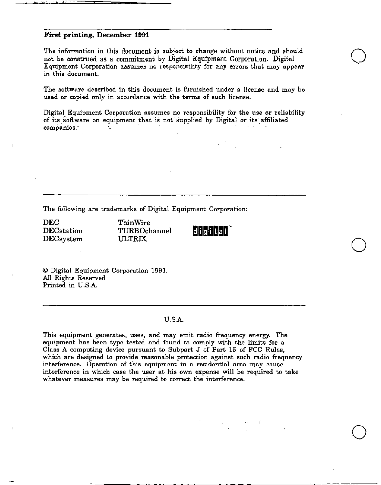### First printing, December 1991

The information in this document is subject to change without notice and should not be construed as a commitment by Digital Equipment Corporation. Digital Equipment Corporation assumes no responsibility for any errors that may appear **in this document.** 

**The software described in this document is furnished under a license and may be used or copied only in accordance with the terms of such license.** 

Digital Equipment Corporation assumes no responsibility for the use or reliability of its software on equipment that is not supplied by Digital or its affiliated **companies.·** 

**The following are trademarks of Digital Equipment Corporation:** 

DEC DECstation DECsystem

ThinWire TURBOchannel ULTRIX



 $\bigcirc$ 

 $\bigcirc$ 

 $\bigcirc$ 

© Digital Equipment Corporation 1991. All Rights Reserved Printed in U.S.A.

### U.S.A.

**This equipment generates, uses, and may emit radio frequency energy. The equipment** has been type tested and found to comply with the limits for a Class A computing device pursuant to Subpart J of Part 15 of FCC Rules, **which are designed to provide reasonable protection against such radio frequency interlerence. Operation of this equipment in a residential area may cause interference in which case the user at his own expense will be required to take whatever measures may be required to correct the interference.**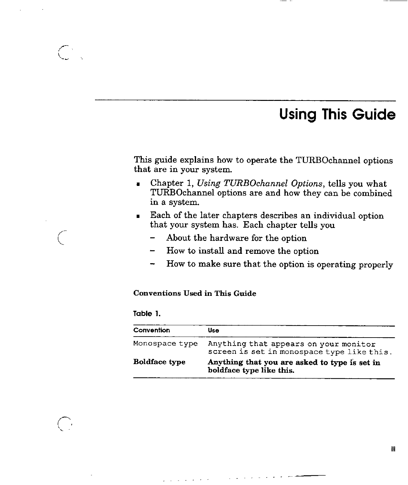## **Using This Guide**

This guide explains how to operate the TURBOchannel options that are in your system.

- Chapter 1, *Using TURBOchannel Options,* tells you what TURBOchannel options are and how they can be combined in a system.
- Each of the later chapters describes an individual option that your system has. Each chapter tells you
	- About the hardware for the option
	- How to install and remove the option
	- How to make sure that the option is operating properly

## **Conventions Used** in **This Guide**

## **Table l.**

 $\bigcap$ 

 $\mathbb{C}^{\mathbb{N}}$ 

| Convention           | Use                                                                                 |
|----------------------|-------------------------------------------------------------------------------------|
| Monospace type       | Anything that appears on your monitor<br>screen is set in monospace type like this. |
| <b>Boldface type</b> | Anything that you are asked to type is set in<br>boldface type like this.           |

 $\sim 10^{-12}$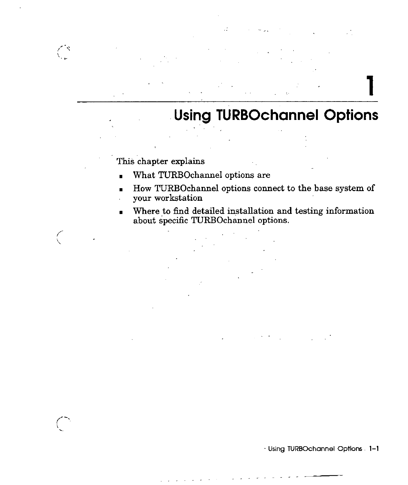**1** 

## . **Using TURBOchannel Options**

This chapter explains

 $\binom{N}{k}$ 

- What TURBOchannel options are
- How TURBOchannel options connect to the base system of
- your workstation
- Where to find detailed installation and testing information about specific TURBOchannel options.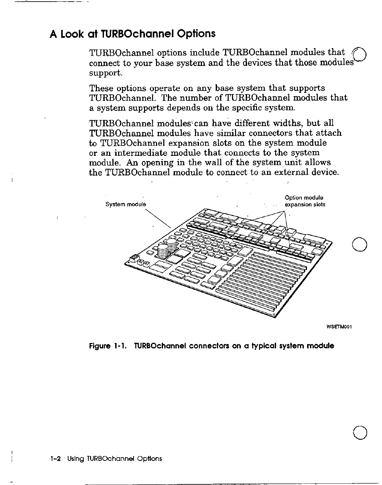## **A Look at TURBOchannel Options**

TURBOchannel options include TURBOchannel modules that connect to your base system and the devices that those modules support.

These options operate on any base system that supports TURBOchannel. The number of TURBOchannel modules that a system supports depends on the specific system.

TURBOchannel modules'can have different widths, but all TURBOchannel modules have similar connectors that attach to TURBOchannel expansion slots on the system module or an intermediate module that connects to the system module. An opening in the wall of the system unit allows the TURBOchannel module to connect to an external device.



**WSETM001** 

 $\bigcirc$ 

## **Figure 1-1. TURBOchannel connectors on a typical system module**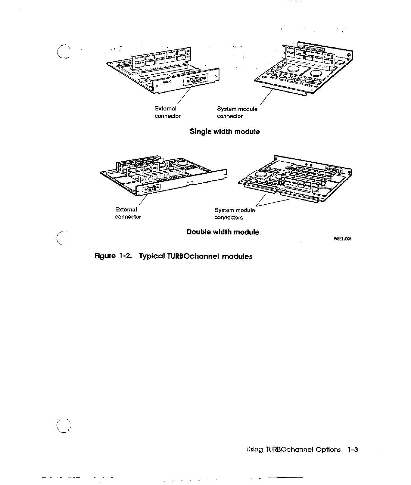

Figure 1-2. Typical TURBOchannel modules

 $\frac{1}{\epsilon}$ 

Using TURBOchannel Options 1-3

- - -